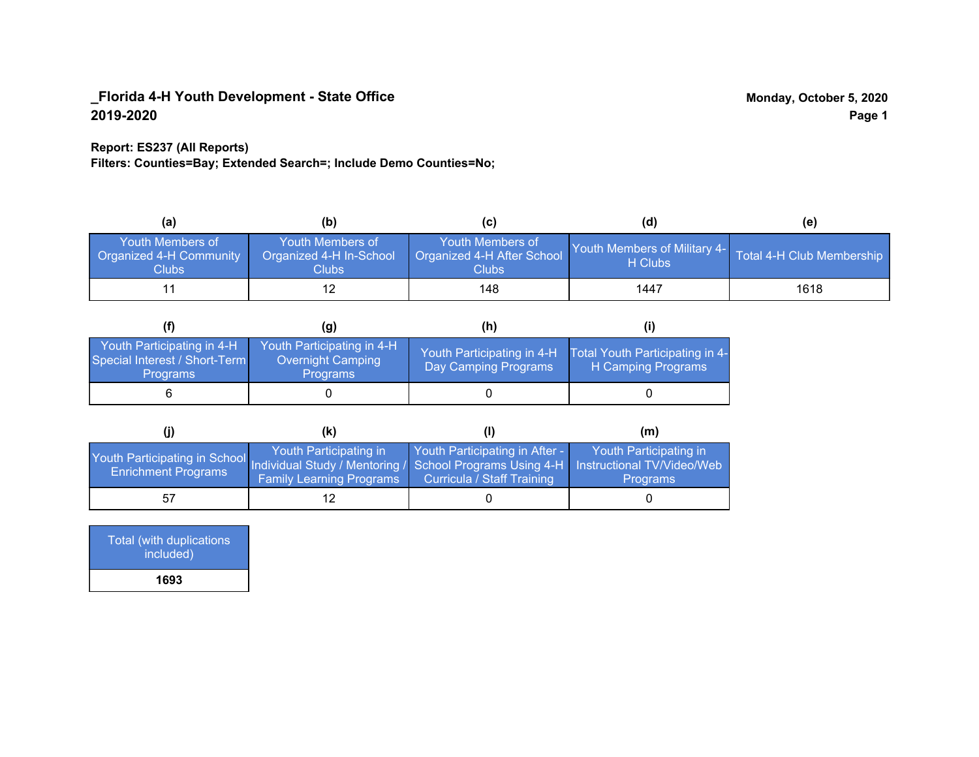## **Report: ES237 (All Reports)**

**Filters: Counties=Bay; Extended Search=; Include Demo Counties=No;**

| (a)                                                         | (b)                                                  |                                                         | (d)                                      | (e)                       |
|-------------------------------------------------------------|------------------------------------------------------|---------------------------------------------------------|------------------------------------------|---------------------------|
| Youth Members of<br><b>Organized 4-H Community</b><br>Clubs | Youth Members of<br>Organized 4-H In-School<br>Clubs | Youth Members of<br>Organized 4-H After School<br>Clubs | Youth Members of Military 4-1<br>H Clubs | Total 4-H Club Membership |
|                                                             | 12                                                   | 148                                                     | 1447                                     | 1618                      |

|                                                                                | (g)                                                                | (h)                                                 |                                                       |
|--------------------------------------------------------------------------------|--------------------------------------------------------------------|-----------------------------------------------------|-------------------------------------------------------|
| Youth Participating in 4-H<br>Special Interest / Short-Term<br><b>Programs</b> | Youth Participating in 4-H<br>Overnight Camping<br><b>Programs</b> | Youth Participating in 4-H,<br>Day Camping Programs | Total Youth Participating in 4-<br>H Camping Programs |
|                                                                                |                                                                    |                                                     |                                                       |

|                                                                                                                                                 | (k)                                                       |                                                              | (m)                                       |
|-------------------------------------------------------------------------------------------------------------------------------------------------|-----------------------------------------------------------|--------------------------------------------------------------|-------------------------------------------|
| Youth Participating in School Individual Study / Mentoring / School Programs Using 4-H Instructional TV/Video/Web<br><b>Enrichment Programs</b> | Youth Participating in<br><b>Family Learning Programs</b> | Youth Participating in After -<br>Curricula / Staff Training | Youth Participating in<br><b>Programs</b> |
| 57                                                                                                                                              |                                                           |                                                              |                                           |

| Total (with duplications<br>included) |
|---------------------------------------|
| 1693                                  |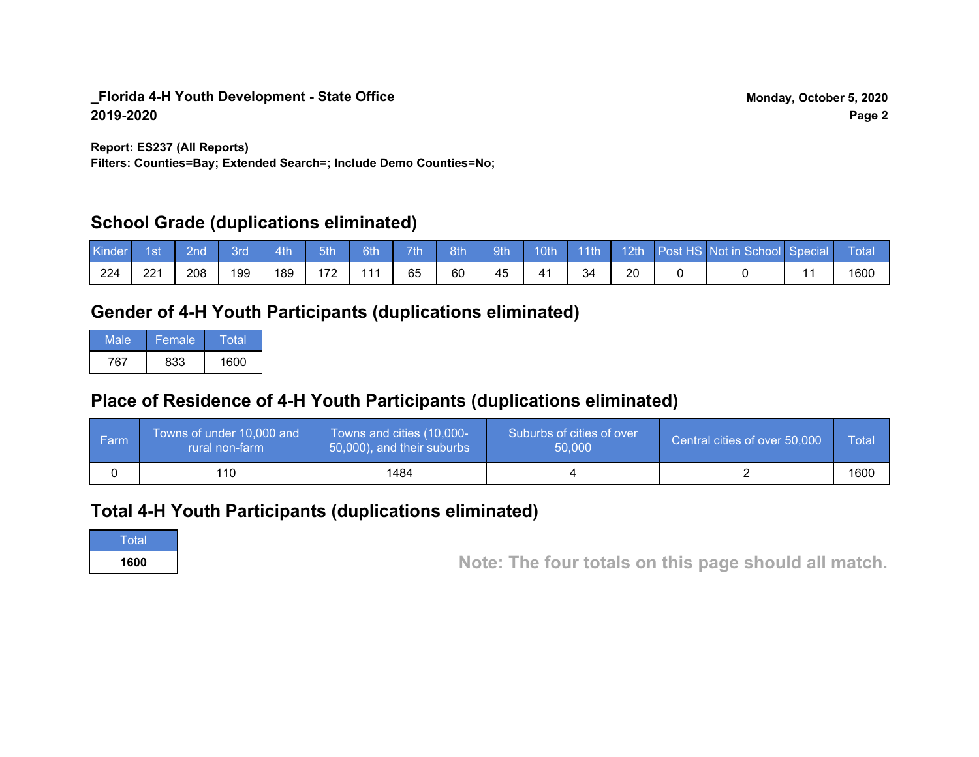**Report: ES237 (All Reports)**

**Filters: Counties=Bay; Extended Search=; Include Demo Counties=No;**

# **School Grade (duplications eliminated)**

| Kinder | 1st | 2nd | Bro | 4th | 5th | 6th | 7th | 8th | <b>9th</b> | 10 <sub>th</sub> | $\vert$ 11th | 12th | Post HS Not in School Special | Total |
|--------|-----|-----|-----|-----|-----|-----|-----|-----|------------|------------------|--------------|------|-------------------------------|-------|
| 224    | 221 | 208 | 199 | 189 | 172 | 111 | 65  | 60  | 45         | 4 <sup>1</sup>   | 34           | 20   |                               | 1600  |

# **Gender of 4-H Youth Participants (duplications eliminated)**

| Male | Female | Total |
|------|--------|-------|
| 767  | 833    | 1600  |

# **Place of Residence of 4-H Youth Participants (duplications eliminated)**

| ∣ Farm | Towns of under 10,000 and<br>rural non-farm | Towns and cities (10,000-<br>50,000), and their suburbs | Suburbs of cities of over<br>50,000 | Central cities of over 50,000 | Total |
|--------|---------------------------------------------|---------------------------------------------------------|-------------------------------------|-------------------------------|-------|
|        | 110                                         | 1484                                                    |                                     |                               | 1600  |

# **Total 4-H Youth Participants (duplications eliminated)**

Total

**<sup>1600</sup> Note: The four totals on this page should all match.**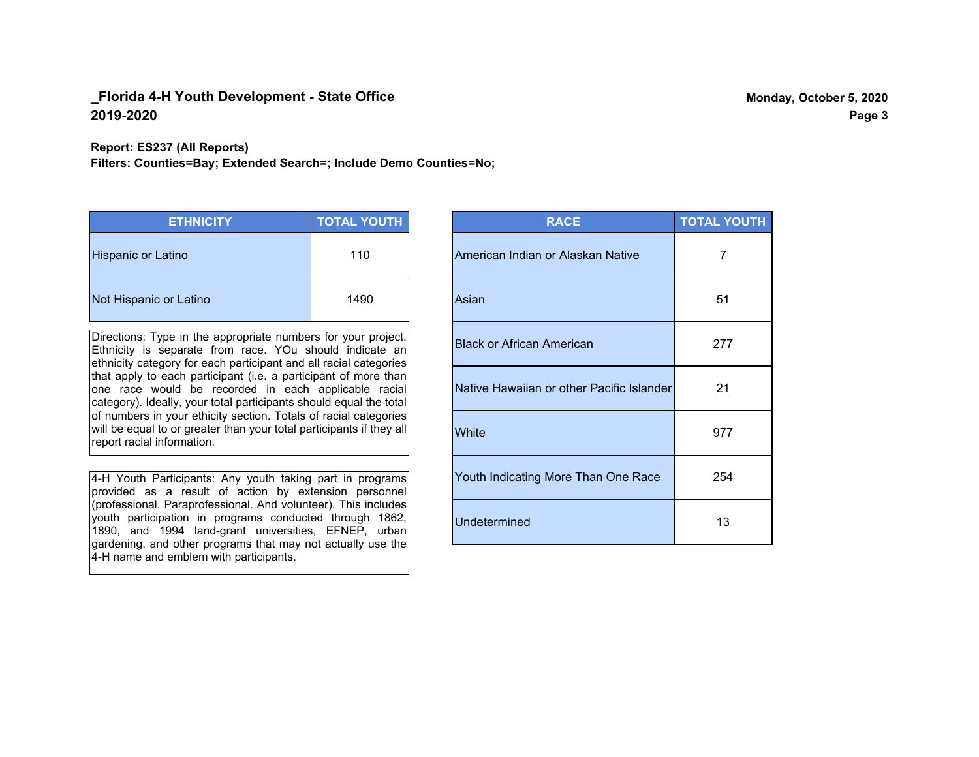**Report: ES237 (All Reports)**

**Filters: Counties=Bay; Extended Search=; Include Demo Counties=No;**

| <b>ETHNICITY</b>          | <b>TOTAL YOUTH</b> |
|---------------------------|--------------------|
| <b>Hispanic or Latino</b> | 110                |
| Not Hispanic or Latino    | 1490               |

Directions: Type in the appropriate numbers for your project. Ethnicity is separate from race. YOu should indicate an ethnicity category for each participant and all racial categories that apply to each participant (i.e. a participant of more than one race would be recorded in each applicable racial category). Ideally, your total participants should equal the total of numbers in your ethicity section. Totals of racial categories will be equal to or greater than your total participants if they all report racial information.

4-H Youth Participants: Any youth taking part in programs provided as a result of action by extension personnel (professional. Paraprofessional. And volunteer). This includes youth participation in programs conducted through 1862, 1890, and 1994 land-grant universities, EFNEP, urban gardening, and other programs that may not actually use the 4-H name and emblem with participants.

| <b>RACE</b>                               | <b>TOTAL YOUTH</b> |
|-------------------------------------------|--------------------|
| American Indian or Alaskan Native         | 7                  |
| Asian                                     | 51                 |
| <b>Black or African American</b>          | 277                |
| Native Hawaiian or other Pacific Islander | 21                 |
| White                                     | 977                |
| Youth Indicating More Than One Race       | 254                |
| <b>Undetermined</b>                       | 13                 |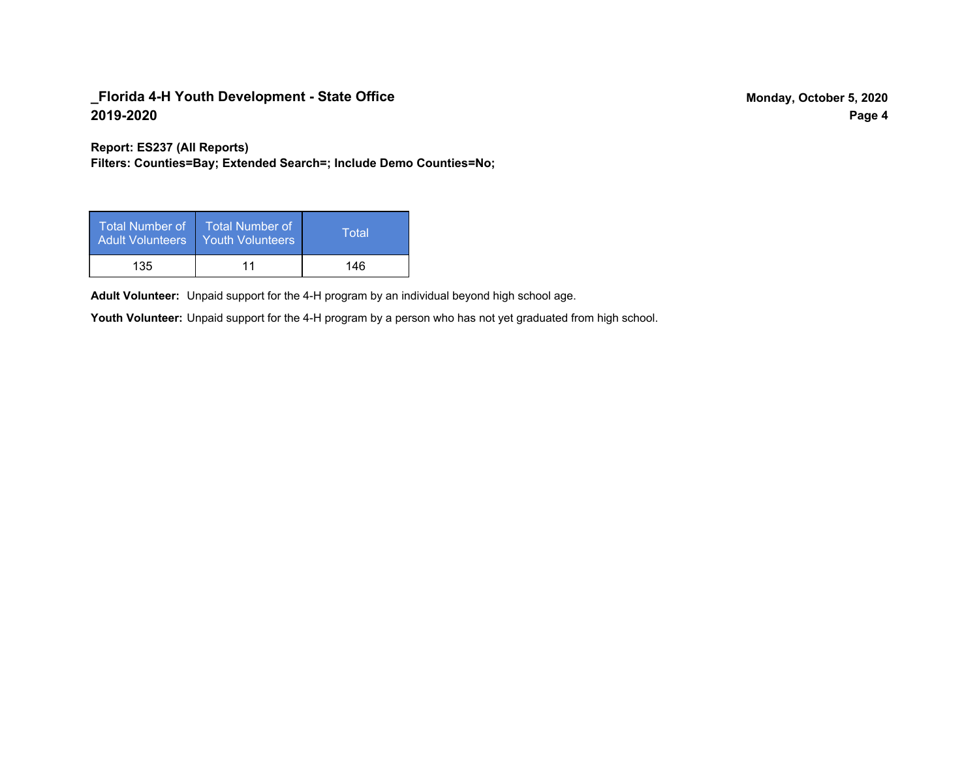**Report: ES237 (All Reports)**

**Filters: Counties=Bay; Extended Search=; Include Demo Counties=No;**

| Total Number of<br><b>Adult Volunteers</b> | <b>Total Number of</b><br><b>Youth Volunteers</b> | Total |
|--------------------------------------------|---------------------------------------------------|-------|
| 135                                        | 11                                                | 146   |

Adult Volunteer: Unpaid support for the 4-H program by an individual beyond high school age.

Youth Volunteer: Unpaid support for the 4-H program by a person who has not yet graduated from high school.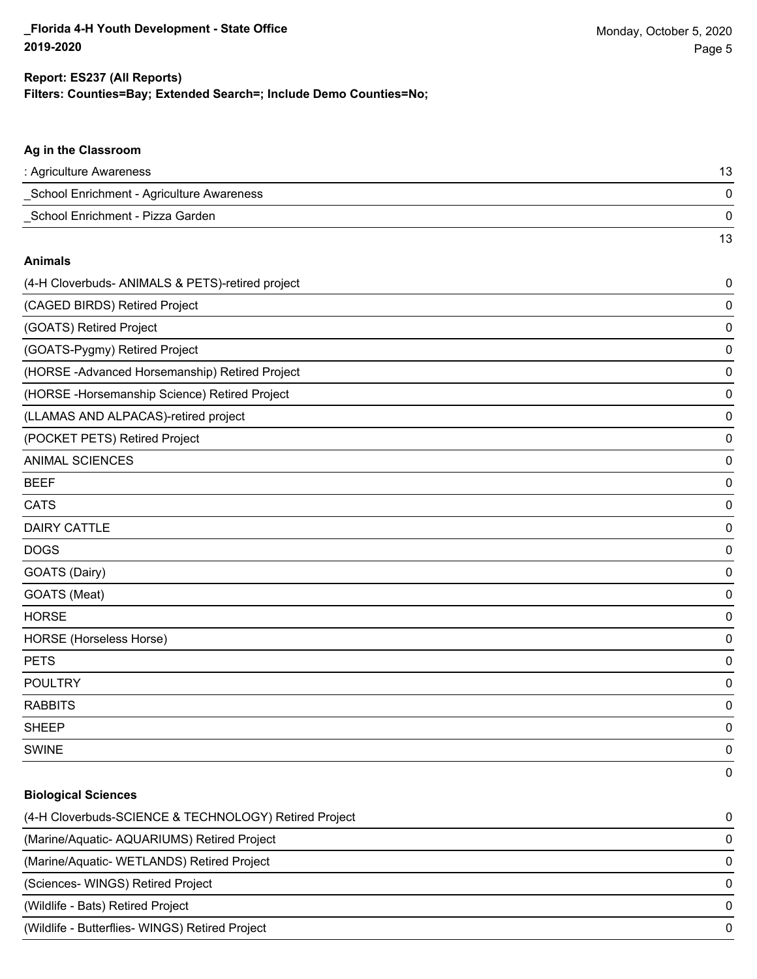13

### **Ag in the Classroom**

| : Agriculture Awareness                   |  |
|-------------------------------------------|--|
| School Enrichment - Agriculture Awareness |  |
| School Enrichment - Pizza Garden          |  |

#### **Animals**

| (4-H Cloverbuds- ANIMALS & PETS)-retired project | $\pmb{0}$ |
|--------------------------------------------------|-----------|
| (CAGED BIRDS) Retired Project                    | 0         |
| (GOATS) Retired Project                          | 0         |
| (GOATS-Pygmy) Retired Project                    | 0         |
| (HORSE-Advanced Horsemanship) Retired Project    | 0         |
| (HORSE-Horsemanship Science) Retired Project     | 0         |
| (LLAMAS AND ALPACAS)-retired project             | 0         |
| (POCKET PETS) Retired Project                    | 0         |
| <b>ANIMAL SCIENCES</b>                           | 0         |
| <b>BEEF</b>                                      | 0         |
| <b>CATS</b>                                      | 0         |
| <b>DAIRY CATTLE</b>                              | 0         |
| <b>DOGS</b>                                      | 0         |
| GOATS (Dairy)                                    | 0         |
| GOATS (Meat)                                     | 0         |
| <b>HORSE</b>                                     | 0         |
| HORSE (Horseless Horse)                          | 0         |
| <b>PETS</b>                                      | 0         |
| <b>POULTRY</b>                                   | 0         |
| <b>RABBITS</b>                                   | 0         |
| <b>SHEEP</b>                                     | 0         |
| <b>SWINE</b>                                     | 0         |
|                                                  | 0         |

#### **Biological Sciences**

| (4-H Cloverbuds-SCIENCE & TECHNOLOGY) Retired Project | 0            |
|-------------------------------------------------------|--------------|
| (Marine/Aquatic-AQUARIUMS) Retired Project            | 0            |
| (Marine/Aquatic-WETLANDS) Retired Project             | 0            |
| (Sciences-WINGS) Retired Project                      | <sup>n</sup> |
| (Wildlife - Bats) Retired Project                     | 0            |
| (Wildlife - Butterflies- WINGS) Retired Project       | 0            |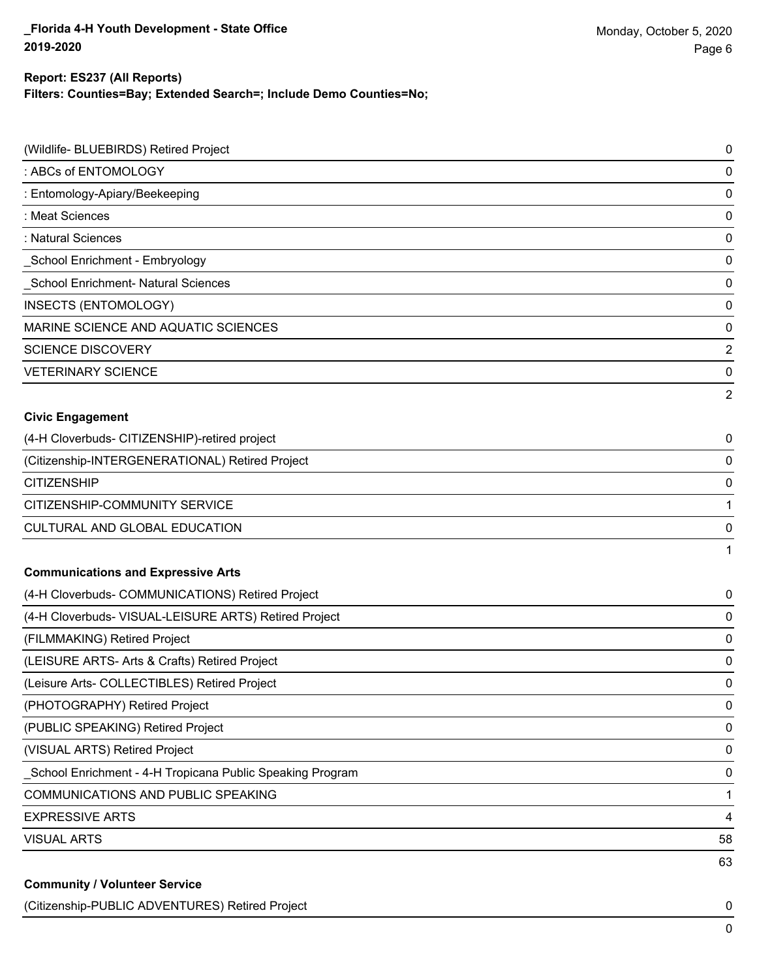## **Filters: Counties=Bay; Extended Search=; Include Demo Counties=No; Report: ES237 (All Reports)**

| (Wildlife- BLUEBIRDS) Retired Project                     | 0              |
|-----------------------------------------------------------|----------------|
| : ABCs of ENTOMOLOGY                                      | 0              |
| : Entomology-Apiary/Beekeeping                            | 0              |
| : Meat Sciences                                           | 0              |
| : Natural Sciences                                        | 0              |
| School Enrichment - Embryology                            | 0              |
| School Enrichment- Natural Sciences                       | 0              |
| <b>INSECTS (ENTOMOLOGY)</b>                               | 0              |
| MARINE SCIENCE AND AQUATIC SCIENCES                       | 0              |
| <b>SCIENCE DISCOVERY</b>                                  | $\overline{2}$ |
| <b>VETERINARY SCIENCE</b>                                 | 0              |
|                                                           | 2              |
| <b>Civic Engagement</b>                                   |                |
| (4-H Cloverbuds- CITIZENSHIP)-retired project             | 0              |
| (Citizenship-INTERGENERATIONAL) Retired Project           | 0              |
| <b>CITIZENSHIP</b>                                        | 0              |
| CITIZENSHIP-COMMUNITY SERVICE                             | $\mathbf{1}$   |
| CULTURAL AND GLOBAL EDUCATION                             | 0              |
|                                                           | 1              |
| <b>Communications and Expressive Arts</b>                 |                |
| (4-H Cloverbuds- COMMUNICATIONS) Retired Project          | 0              |
| (4-H Cloverbuds- VISUAL-LEISURE ARTS) Retired Project     | 0              |
| (FILMMAKING) Retired Project                              | 0              |
| (LEISURE ARTS- Arts & Crafts) Retired Project             | 0              |
| (Leisure Arts- COLLECTIBLES) Retired Project              | 0              |
| (PHOTOGRAPHY) Retired Project                             | 0              |
| (PUBLIC SPEAKING) Retired Project                         | 0              |
| (VISUAL ARTS) Retired Project                             | 0              |
| School Enrichment - 4-H Tropicana Public Speaking Program | 0              |
| COMMUNICATIONS AND PUBLIC SPEAKING                        | 1              |
| <b>EXPRESSIVE ARTS</b>                                    | 4              |
| <b>VISUAL ARTS</b>                                        | 58             |
|                                                           | 63             |
| <b>Community / Volunteer Service</b>                      |                |

(Citizenship-PUBLIC ADVENTURES) Retired Project 0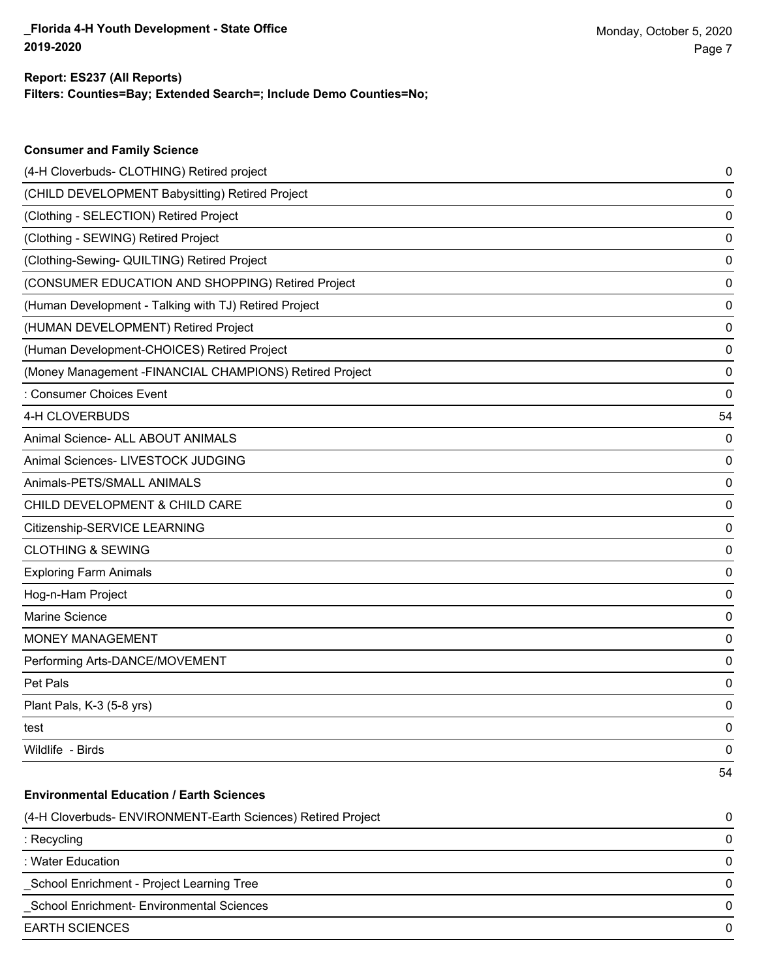| <b>Consumer and Family Science</b>                           |    |
|--------------------------------------------------------------|----|
| (4-H Cloverbuds- CLOTHING) Retired project                   | 0  |
| (CHILD DEVELOPMENT Babysitting) Retired Project              | 0  |
| (Clothing - SELECTION) Retired Project                       | 0  |
| (Clothing - SEWING) Retired Project                          | 0  |
| (Clothing-Sewing- QUILTING) Retired Project                  | 0  |
| (CONSUMER EDUCATION AND SHOPPING) Retired Project            | 0  |
| (Human Development - Talking with TJ) Retired Project        | 0  |
| (HUMAN DEVELOPMENT) Retired Project                          | 0  |
| (Human Development-CHOICES) Retired Project                  | 0  |
| (Money Management -FINANCIAL CHAMPIONS) Retired Project      | 0  |
| : Consumer Choices Event                                     | 0  |
| 4-H CLOVERBUDS                                               | 54 |
| Animal Science- ALL ABOUT ANIMALS                            | 0  |
| Animal Sciences- LIVESTOCK JUDGING                           | 0  |
| Animals-PETS/SMALL ANIMALS                                   | 0  |
| CHILD DEVELOPMENT & CHILD CARE                               | 0  |
| Citizenship-SERVICE LEARNING                                 | 0  |
| <b>CLOTHING &amp; SEWING</b>                                 | 0  |
| <b>Exploring Farm Animals</b>                                | 0  |
| Hog-n-Ham Project                                            | 0  |
| Marine Science                                               | 0  |
| <b>MONEY MANAGEMENT</b>                                      | 0  |
| Performing Arts-DANCE/MOVEMENT                               | 0  |
| Pet Pals                                                     | 0  |
| Plant Pals, K-3 (5-8 yrs)                                    | 0  |
| test                                                         | 0  |
| Wildlife - Birds                                             | 0  |
|                                                              | 54 |
| <b>Environmental Education / Earth Sciences</b>              |    |
| (4-H Cloverbuds- ENVIRONMENT-Earth Sciences) Retired Project | 0  |
| : Recycling                                                  | 0  |

: Water Education 0

\_School Enrichment - Project Learning Tree 0

\_School Enrichment- Environmental Sciences 0

EARTH SCIENCES 0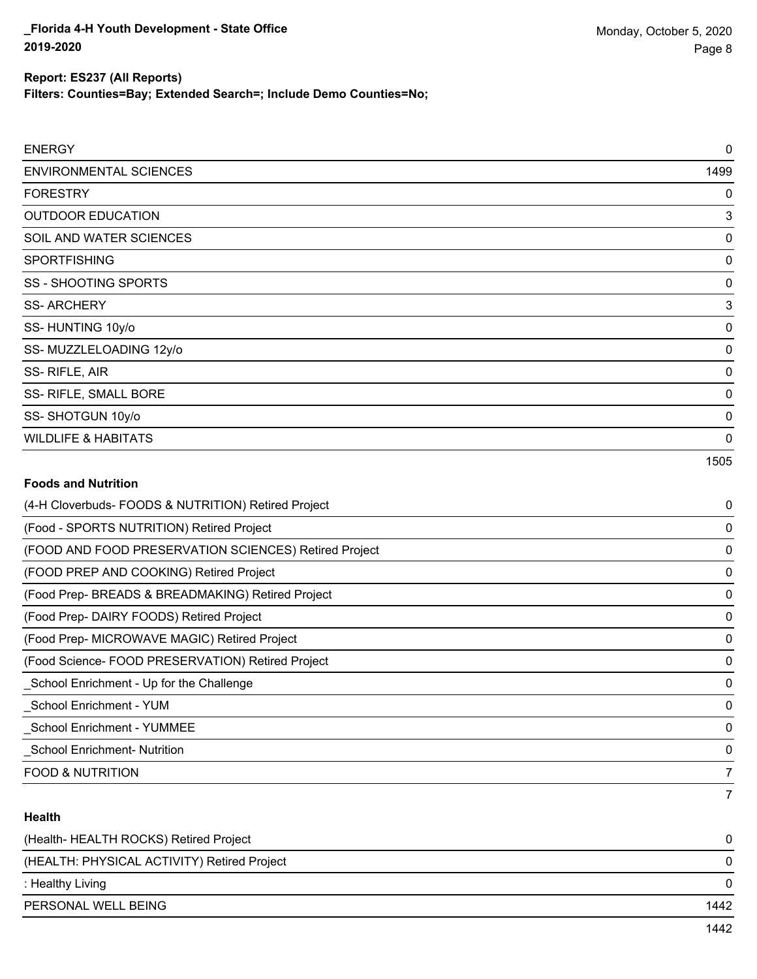# **Report: ES237 (All Reports)**

**Filters: Counties=Bay; Extended Search=; Include Demo Counties=No;**

| <b>ENERGY</b>                  | 0    |
|--------------------------------|------|
| <b>ENVIRONMENTAL SCIENCES</b>  | 1499 |
| <b>FORESTRY</b>                | 0    |
| <b>OUTDOOR EDUCATION</b>       | 3    |
| SOIL AND WATER SCIENCES        | 0    |
| <b>SPORTFISHING</b>            | 0    |
| <b>SS - SHOOTING SPORTS</b>    | 0    |
| <b>SS-ARCHERY</b>              | 3    |
| SS-HUNTING 10y/o               | 0    |
| SS-MUZZLELOADING 12y/o         | 0    |
| SS-RIFLE, AIR                  | 0    |
| SS- RIFLE, SMALL BORE          | 0    |
| SS-SHOTGUN 10y/o               | 0    |
| <b>WILDLIFE &amp; HABITATS</b> | 0    |
|                                | 1505 |

## **Foods and Nutrition**

| (4-H Cloverbuds- FOODS & NUTRITION) Retired Project   | 0              |
|-------------------------------------------------------|----------------|
| (Food - SPORTS NUTRITION) Retired Project             | 0              |
| (FOOD AND FOOD PRESERVATION SCIENCES) Retired Project | 0              |
| (FOOD PREP AND COOKING) Retired Project               | 0              |
| (Food Prep- BREADS & BREADMAKING) Retired Project     | 0              |
| (Food Prep- DAIRY FOODS) Retired Project              | 0              |
| (Food Prep- MICROWAVE MAGIC) Retired Project          | 0              |
| (Food Science-FOOD PRESERVATION) Retired Project      | 0              |
| _School Enrichment - Up for the Challenge             | 0              |
| School Enrichment - YUM                               | 0              |
| <b>School Enrichment - YUMMEE</b>                     | 0              |
| <b>School Enrichment- Nutrition</b>                   | 0              |
| <b>FOOD &amp; NUTRITION</b>                           | 7              |
|                                                       | $\overline{7}$ |

## **Health**

| (Health- HEALTH ROCKS) Retired Project      |      |
|---------------------------------------------|------|
| (HEALTH: PHYSICAL ACTIVITY) Retired Project | 0    |
| : Healthy Living                            | 0    |
| PERSONAL WELL BEING                         | 1442 |
|                                             | 1442 |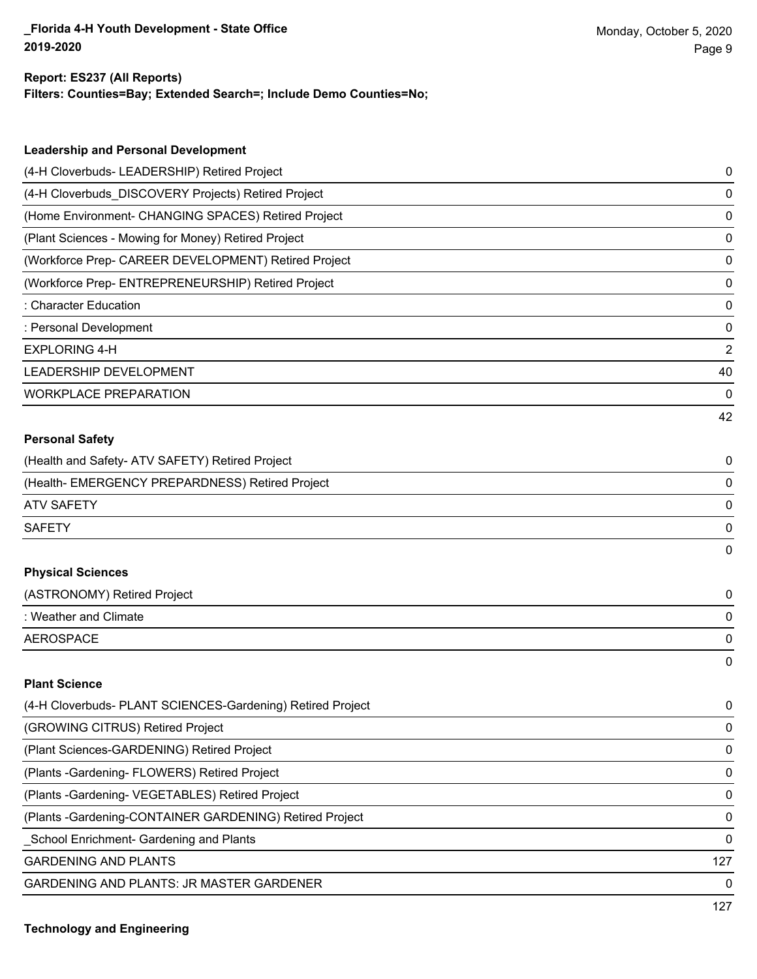### **Filters: Counties=Bay; Extended Search=; Include Demo Counties=No; Report: ES237 (All Reports)**

| <b>Leadership and Personal Development</b>                 |    |
|------------------------------------------------------------|----|
| (4-H Cloverbuds- LEADERSHIP) Retired Project               | 0  |
| (4-H Cloverbuds_DISCOVERY Projects) Retired Project        | 0  |
| (Home Environment- CHANGING SPACES) Retired Project        | 0  |
| (Plant Sciences - Mowing for Money) Retired Project        | 0  |
| (Workforce Prep- CAREER DEVELOPMENT) Retired Project       | 0  |
| (Workforce Prep- ENTREPRENEURSHIP) Retired Project         | 0  |
| <b>Character Education</b>                                 | 0  |
| : Personal Development                                     | 0  |
| <b>EXPLORING 4-H</b>                                       | 2  |
| LEADERSHIP DEVELOPMENT                                     | 40 |
| <b>WORKPLACE PREPARATION</b>                               | 0  |
|                                                            | 42 |
| <b>Personal Safety</b>                                     |    |
| (Health and Safety- ATV SAFETY) Retired Project            | 0  |
| (Health- EMERGENCY PREPARDNESS) Retired Project            | 0  |
| <b>ATV SAFETY</b>                                          | 0  |
| <b>SAFETY</b>                                              | 0  |
|                                                            | 0  |
| <b>Physical Sciences</b>                                   |    |
| (ASTRONOMY) Retired Project                                | 0  |
| : Weather and Climate                                      | 0  |
| <b>AEROSPACE</b>                                           | 0  |
|                                                            | 0  |
| <b>Plant Science</b>                                       |    |
| (4-H Cloverbuds- PLANT SCIENCES-Gardening) Retired Project | 0  |
| (GROWING CITRUS) Retired Project                           | 0  |
| (Plant Sciences-GARDENING) Retired Project                 | 0  |

(Plants -Gardening- FLOWERS) Retired Project 0 (Plants -Gardening- VEGETABLES) Retired Project 0

(Plants -Gardening-CONTAINER GARDENING) Retired Project 0

\_School Enrichment- Gardening and Plants 0

GARDENING AND PLANTS 127

GARDENING AND PLANTS: JR MASTER GARDENER 0